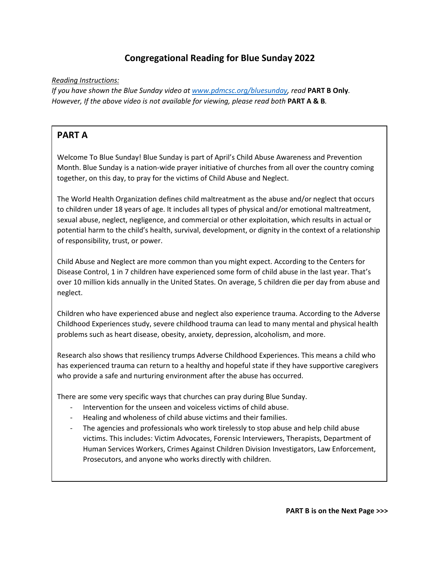## **Congregational Reading for Blue Sunday 2022**

*Reading Instructions:*

*If you have shown the Blue Sunday video at [www.pdmcsc.org/bluesunday,](http://www.pdmcsc.org/bluesunday) read* **PART B Only***. However, If the above video is not available for viewing, please read both* **PART A & B***.*

## **PART A**

Welcome To Blue Sunday! Blue Sunday is part of April's Child Abuse Awareness and Prevention Month. Blue Sunday is a nation-wide prayer initiative of churches from all over the country coming together, on this day, to pray for the victims of Child Abuse and Neglect.

The World Health Organization defines child maltreatment as the abuse and/or neglect that occurs to children under 18 years of age. It includes all types of physical and/or emotional maltreatment, sexual abuse, neglect, negligence, and commercial or other exploitation, which results in actual or potential harm to the child's health, survival, development, or dignity in the context of a relationship of responsibility, trust, or power.

Child Abuse and Neglect are more common than you might expect. According to the Centers for Disease Control, 1 in 7 children have experienced some form of child abuse in the last year. That's over 10 million kids annually in the United States. On average, 5 children die per day from abuse and neglect.

Children who have experienced abuse and neglect also experience trauma. According to the Adverse Childhood Experiences study, severe childhood trauma can lead to many mental and physical health problems such as heart disease, obesity, anxiety, depression, alcoholism, and more.

Research also shows that resiliency trumps Adverse Childhood Experiences. This means a child who has experienced trauma can return to a healthy and hopeful state if they have supportive caregivers who provide a safe and nurturing environment after the abuse has occurred.

There are some very specific ways that churches can pray during Blue Sunday.

- Intervention for the unseen and voiceless victims of child abuse.
- Healing and wholeness of child abuse victims and their families.
- The agencies and professionals who work tirelessly to stop abuse and help child abuse victims. This includes: Victim Advocates, Forensic Interviewers, Therapists, Department of Human Services Workers, Crimes Against Children Division Investigators, Law Enforcement, Prosecutors, and anyone who works directly with children.